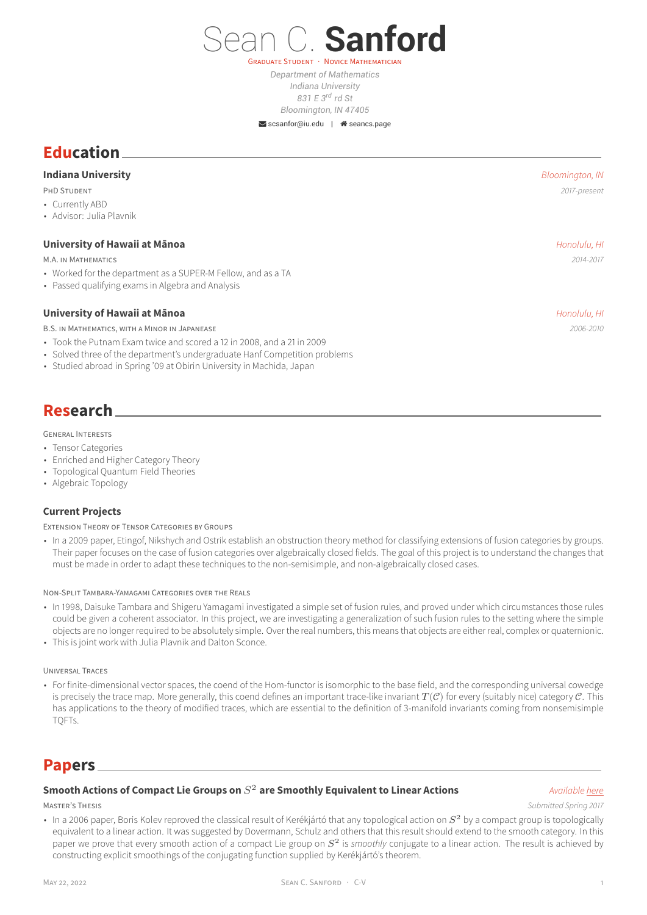*Department of Mathematics Indiana University 831 E 3rd rd St Bloomington, IN 47405*

**GRADUATE STUDENT** 

Sean C. **Sanford**

Scsanfor@iu.edu | <sup>a</sup>[seancs.page](http://seancs.page)

# **Education**

## **Indiana University** *Bloomington, IN*

PHD STUDENT *2017-present*

- Currently ABD
- Advisor: Julia Plavnik

### **University of Hawaii at Mānoa** *Honolulu, HI*

M.A. IN MATHEMATICS *2014-2017*

- Worked for the department as a SUPER-M Fellow, and as a TA
- Passed qualifying exams in Algebra and Analysis

## **University of Hawaii at Mānoa Honolulu, HI Honolulu, HI Honolulu, HI Honolulu, HI**

B.S. IN MATHEMATICS, WITH A MINOR IN JAPANEASE *2006-2010*

- Took the Putnam Exam twice and scored a 12 in 2008, and a 21 in 2009
- Solved three of the department's undergraduate Hanf Competition problems
- Studied abroad in Spring '09 at Obirin University in Machida, Japan

# **Research**

### GENERAL INTERESTS

- Tensor Categories
- Enriched and Higher Category Theory
- Topological Quantum Field Theories
- Algebraic Topology

### **Current Projects**

EXTENSION THEORY OF TENSOR CATEGORIES BY GROUPS

• In a 2009 paper, Etingof, Nikshych and Ostrik establish an obstruction theory method for classifying extensions of fusion categories by groups. Their paper focuses on the case of fusion categories over algebraically closed fields. The goal of this project is to understand the changes that must be made in order to adapt these techniques to the non-semisimple, and non-algebraically closed cases.

### NON-SPLIT TAMBARA-YAMAGAMI CATEGORIES OVER THE REALS

- In 1998, Daisuke Tambara and Shigeru Yamagami investigated a simple set of fusion rules, and proved under which circumstances those rules could be given a coherent associator. In this project, we are investigating a generalization of such fusion rules to the setting where the simple objects are no longer required to be absolutely simple. Over the real numbers, this means that objects are either real, complex or quaternionic.
- This is joint work with Julia Plavnik and Dalton Sconce.

### UNIVERSAL TRACES

• For finite-dimensional vector spaces, the coend of the Hom-functor is isomorphic to the base field, and the corresponding universal cowedge is precisely the trace map. More generally, this coend defines an important trace-like invariant  $T(\mathcal{C})$  for every (suitably nice) category  $\mathcal{C}$ . This has applications to the theory of modified traces, which are essential to the definition of 3-manifold invariants coming from nonsemisimple TQFTs.

# **Papers**

## **Smooth Actions of Compact Lie Groups on**  $S^2$  **are Smoothly Equivalent to Linear Actions** *Available [here](https://seancs.page/pdf/Smooth_Conjugacy.pdf)*

MASTER'S THESIS *Submitted Spring 2017*

In a 2006 paper, Boris Kolev reproved the classical result of Kerékjártó that any topological action on  $S^2$  by a compact group is topologically equivalent to a linear action. It was suggested by Dovermann, Schulz and others that this result should extend to the smooth category. In this paper we prove that every smooth action of a compact Lie group on  $S^2$  is *smoothly* conjugate to a linear action. The result is achieved by constructing explicit smoothings of the conjugating function supplied by Kerékjártó's theorem.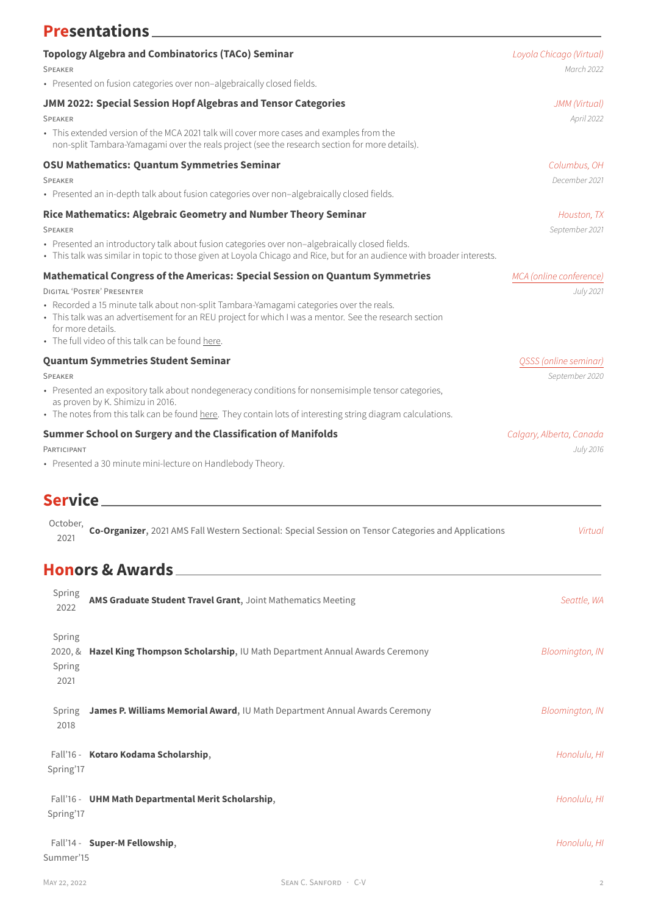| <b>Presentations</b>                                                                                                                                                                                                                                                                                                                                                                     |                                         |
|------------------------------------------------------------------------------------------------------------------------------------------------------------------------------------------------------------------------------------------------------------------------------------------------------------------------------------------------------------------------------------------|-----------------------------------------|
| <b>Topology Algebra and Combinatorics (TACo) Seminar</b><br><b>SPEAKER</b>                                                                                                                                                                                                                                                                                                               | Loyola Chicago (Virtual)<br>March 2022  |
| • Presented on fusion categories over non-algebraically closed fields.                                                                                                                                                                                                                                                                                                                   |                                         |
| JMM 2022: Special Session Hopf Algebras and Tensor Categories<br><b>SPEAKER</b>                                                                                                                                                                                                                                                                                                          | JMM (Virtual)<br>April 2022             |
| • This extended version of the MCA 2021 talk will cover more cases and examples from the<br>non-split Tambara-Yamagami over the reals project (see the research section for more details).                                                                                                                                                                                               |                                         |
| <b>OSU Mathematics: Quantum Symmetries Seminar</b><br><b>SPEAKER</b><br>· Presented an in-depth talk about fusion categories over non-algebraically closed fields.                                                                                                                                                                                                                       | Columbus, OH<br>December 2021           |
| Rice Mathematics: Algebraic Geometry and Number Theory Seminar<br><b>SPEAKER</b><br>· Presented an introductory talk about fusion categories over non-algebraically closed fields.<br>• This talk was similar in topic to those given at Loyola Chicago and Rice, but for an audience with broader interests.                                                                            | Houston, TX<br>September 2021           |
| Mathematical Congress of the Americas: Special Session on Quantum Symmetries<br>DIGITAL 'POSTER' PRESENTER<br>• Recorded a 15 minute talk about non-split Tambara-Yamagami categories over the reals.<br>• This talk was an advertisement for an REU project for which I was a mentor. See the research section<br>for more details.<br>• The full video of this talk can be found here. | MCA (online conference)<br>July 2021    |
| <b>Quantum Symmetries Student Seminar</b><br><b>SPEAKER</b><br>• Presented an expository talk about nondegeneracy conditions for nonsemisimple tensor categories,<br>as proven by K. Shimizu in 2016.<br>• The notes from this talk can be found here. They contain lots of interesting string diagram calculations.                                                                     | QSSS (online seminar)<br>September 2020 |
| <b>Summer School on Surgery and the Classification of Manifolds</b><br>PARTICIPANT<br>• Presented a 30 minute mini-lecture on Handlebody Theory.                                                                                                                                                                                                                                         | Calgary, Alberta, Canada<br>July 2016   |

# **Service**

| October, |                                                                                                      |         |
|----------|------------------------------------------------------------------------------------------------------|---------|
| 2021     | Co-Organizer, 2021 AMS Fall Western Sectional: Special Session on Tensor Categories and Applications | Virtua. |
|          |                                                                                                      |         |

# **Honors & Awards**

| Spring<br>2022                      | AMS Graduate Student Travel Grant, Joint Mathematics Meeting                |                       | Seattle, WA            |
|-------------------------------------|-----------------------------------------------------------------------------|-----------------------|------------------------|
| Spring<br>2020, 8<br>Spring<br>2021 | Hazel King Thompson Scholarship, IU Math Department Annual Awards Ceremony  |                       | <b>Bloomington, IN</b> |
| Spring<br>2018                      | James P. Williams Memorial Award, IU Math Department Annual Awards Ceremony |                       | <b>Bloomington, IN</b> |
| Spring'17                           | Fall'16 - Kotaro Kodama Scholarship,                                        |                       | Honolulu, HI           |
| Spring'17                           | Fall'16 - UHM Math Departmental Merit Scholarship,                          |                       | Honolulu, HI           |
| Summer'15                           | Fall'14 - Super-M Fellowship,                                               |                       | Honolulu, HI           |
| MAY 22, 2022                        |                                                                             | SEAN C. SANFORD · C-V | 2                      |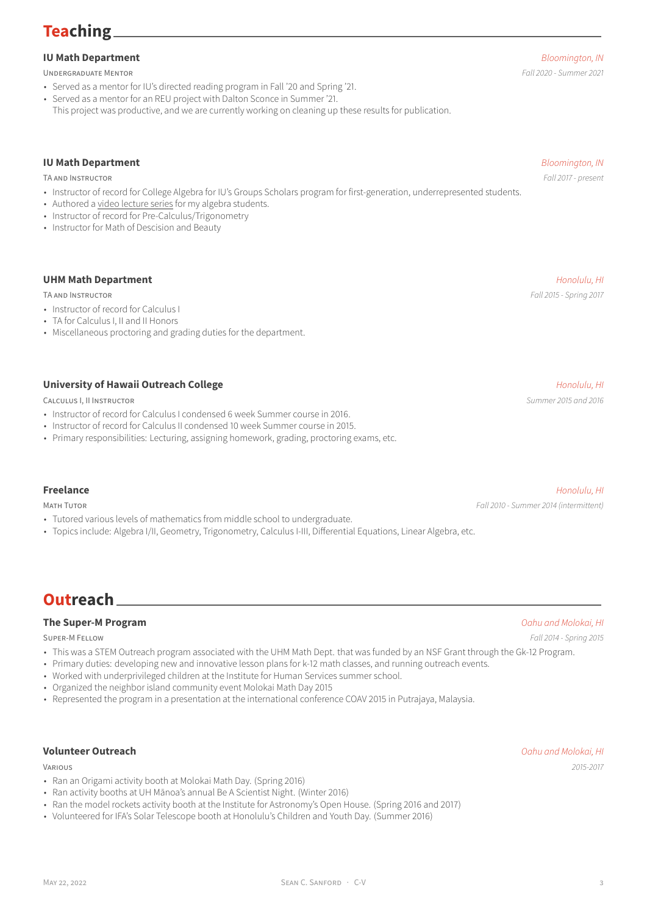# **Teaching**

# **IU Math Department** *Bloomington, IN*

UNDERGRADUATE MENTOR *Fall 2020 - Summer 2021*

- Served as a mentor for IU's directed reading program in Fall '20 and Spring '21.
- Served as a mentor for an REU project with Dalton Sconce in Summer '21.
- This project was productive, and we are currently working on cleaning up these results for publication.

# **IU Math Department** *Bloomington, IN*

TA AND INSTRUCTOR *Fall 2017 - present*

- Instructor of record for College Algebra for IU's Groups Scholars program for first-generation, underrepresented students.
- Authored a [video lecture series](https://iu.mediaspace.kaltura.com/channel/M018%2B-%2BBasic%2BAlgebra%2BFor%2BFinite%2BMath/167888061) for my algebra students.
- Instructor of record for Pre-Calculus/Trigonometry
- Instructor for Math of Descision and Beauty

## **UHM Math Department** *Honolulu, HI*

TA AND INSTRUCTOR *Fall 2015 - Spring 2017*

- Instructor of record for Calculus I
- TA for Calculus I, II and II Honors
- Miscellaneous proctoring and grading duties for the department.

# **University of Hawaii Outreach College Honolulu, HI Internal Section 2 and Section 2 and Section 2 and Honolulu, HI**

CALCULUS I, II INSTRUCTOR *Summer 2015 and 2016*

- Instructor of record for Calculus I condensed 6 week Summer course in 2016.
- Instructor of record for Calculus II condensed 10 week Summer course in 2015.
- Primary responsibilities: Lecturing, assigning homework, grading, proctoring exams, etc.

## **Freelance** *Honolulu, HI*

- Tutored various levels of mathematics from middle school to undergraduate.
- Topics include: Algebra I/II, Geometry, Trigonometry, Calculus I-III, Differential Equations, Linear Algebra, etc.

# **Outreach**

## **The Super-M Program** *Oahu and Molokai, HI*

SUPER-M FELLOW *Fall 2014 - Spring 2015*

- This was a STEM Outreach program associated with the UHM Math Dept. that was funded by an NSF Grant through the Gk-12 Program.
- Primary duties: developing new and innovative lesson plans for k-12 math classes, and running outreach events.
- Worked with underprivileged children at the Institute for Human Services summer school.
- Organized the neighbor island community event Molokai Math Day 2015
- Represented the program in a presentation at the international conference COAV 2015 in Putrajaya, Malaysia.

## **Volunteer Outreach** *Oahu and Molokai, HI*

- Ran an Origami activity booth at Molokai Math Day. (Spring 2016)
- Ran activity booths at UH Mānoa's annual Be A Scientist Night. (Winter 2016)
- Ran the model rockets activity booth at the Institute for Astronomy's Open House. (Spring 2016 and 2017)
- Volunteered for IFA's Solar Telescope booth at Honolulu's Children and Youth Day. (Summer 2016)

VARIOUS *2015-2017*

May 22, 2022  $\overline{S}$  SEAN C. SANFORD  $\cdot$  C-V  $\overline{S}$  3

MATH TUTOR *Fall 2010 - Summer 2014 (intermittent)*